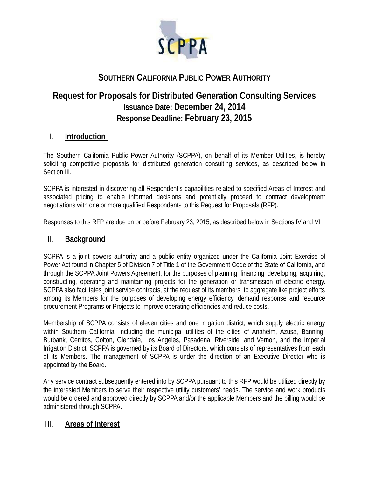

# **SOUTHERN CALIFORNIA PUBLIC POWER AUTHORITY**

# **Request for Proposals for Distributed Generation Consulting Services Issuance Date: December 24, 2014 Response Deadline: February 23, 2015**

# I. **Introduction**

The Southern California Public Power Authority (SCPPA), on behalf of its Member Utilities, is hereby soliciting competitive proposals for distributed generation consulting services, as described below in Section III.

SCPPA is interested in discovering all Respondent's capabilities related to specified Areas of Interest and associated pricing to enable informed decisions and potentially proceed to contract development negotiations with one or more qualified Respondents to this Request for Proposals (RFP).

Responses to this RFP are due on or before February 23, 2015, as described below in Sections IV and VI.

## II. **Background**

SCPPA is a joint powers authority and a public entity organized under the California Joint Exercise of Power Act found in Chapter 5 of Division 7 of Title 1 of the Government Code of the State of California, and through the SCPPA Joint Powers Agreement, for the purposes of planning, financing, developing, acquiring, constructing, operating and maintaining projects for the generation or transmission of electric energy. SCPPA also facilitates joint service contracts, at the request of its members, to aggregate like project efforts among its Members for the purposes of developing energy efficiency, demand response and resource procurement Programs or Projects to improve operating efficiencies and reduce costs.

Membership of SCPPA consists of eleven cities and one irrigation district, which supply electric energy within Southern California, including the municipal utilities of the cities of Anaheim, Azusa, Banning, Burbank, Cerritos, Colton, Glendale, Los Angeles, Pasadena, Riverside, and Vernon, and the Imperial Irrigation District. SCPPA is governed by its Board of Directors, which consists of representatives from each of its Members. The management of SCPPA is under the direction of an Executive Director who is appointed by the Board.

Any service contract subsequently entered into by SCPPA pursuant to this RFP would be utilized directly by the interested Members to serve their respective utility customers' needs. The service and work products would be ordered and approved directly by SCPPA and/or the applicable Members and the billing would be administered through SCPPA.

# III. **Areas of Interest**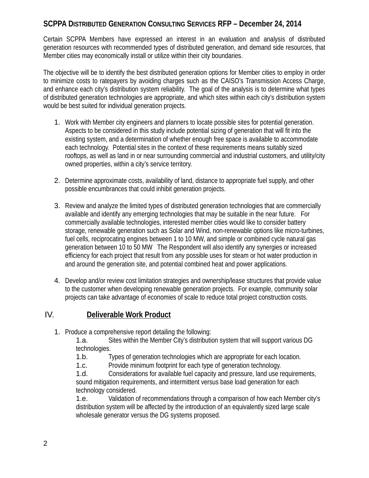Certain SCPPA Members have expressed an interest in an evaluation and analysis of distributed generation resources with recommended types of distributed generation, and demand side resources, that Member cities may economically install or utilize within their city boundaries.

The objective will be to identify the best distributed generation options for Member cities to employ in order to minimize costs to ratepayers by avoiding charges such as the CAISO's Transmission Access Charge, and enhance each city's distribution system reliability. The goal of the analysis is to determine what types of distributed generation technologies are appropriate, and which sites within each city's distribution system would be best suited for individual generation projects.

- 1. Work with Member city engineers and planners to locate possible sites for potential generation. Aspects to be considered in this study include potential sizing of generation that will fit into the existing system, and a determination of whether enough free space is available to accommodate each technology. Potential sites in the context of these requirements means suitably sized rooftops, as well as land in or near surrounding commercial and industrial customers, and utility/city owned properties, within a city's service territory.
- 2. Determine approximate costs, availability of land, distance to appropriate fuel supply, and other possible encumbrances that could inhibit generation projects.
- 3. Review and analyze the limited types of distributed generation technologies that are commercially available and identify any emerging technologies that may be suitable in the near future. For commercially available technologies, interested member cities would like to consider battery storage, renewable generation such as Solar and Wind, non-renewable options like micro-turbines, fuel cells, reciprocating engines between 1 to 10 MW, and simple or combined cycle natural gas generation between 10 to 50 MW The Respondent will also identify any synergies or increased efficiency for each project that result from any possible uses for steam or hot water production in and around the generation site, and potential combined heat and power applications.
- 4. Develop and/or review cost limitation strategies and ownership/lease structures that provide value to the customer when developing renewable generation projects. For example, community solar projects can take advantage of economies of scale to reduce total project construction costs.

# IV. **Deliverable Work Product**

1. Produce a comprehensive report detailing the following:

1.a. Sites within the Member City's distribution system that will support various DG technologies.

- 1.b. Types of generation technologies which are appropriate for each location.
- 1.c. Provide minimum footprint for each type of generation technology.

1.d. Considerations for available fuel capacity and pressure, land use requirements, sound mitigation requirements, and intermittent versus base load generation for each technology considered.

1.e. Validation of recommendations through a comparison of how each Member city's distribution system will be affected by the introduction of an equivalently sized large scale wholesale generator versus the DG systems proposed.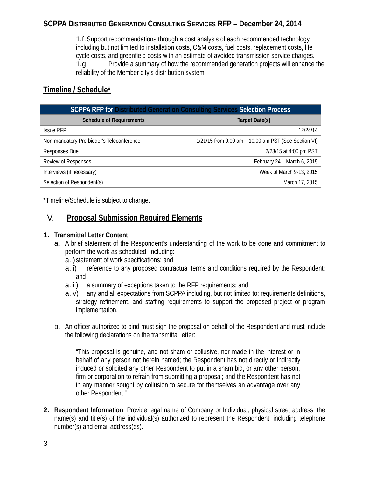1.f.Support recommendations through a cost analysis of each recommended technology including but not limited to installation costs, O&M costs, fuel costs, replacement costs, life cycle costs, and greenfield costs with an estimate of avoided transmission service charges. 1.g. Provide a summary of how the recommended generation projects will enhance the reliability of the Member city's distribution system.

# **Timeline / Schedule\***

| <b>SCPPA RFP for Distributed Generation Consulting Services Selection Process</b> |                                                      |
|-----------------------------------------------------------------------------------|------------------------------------------------------|
| <b>Schedule of Requirements</b>                                                   | Target Date(s)                                       |
| <b>Issue RFP</b>                                                                  | 12/24/14                                             |
| Non-mandatory Pre-bidder's Teleconference                                         | 1/21/15 from 9:00 am - 10:00 am PST (See Section VI) |
| Responses Due                                                                     | 2/23/15 at 4:00 pm PST                               |
| Review of Responses                                                               | February 24 - March 6, 2015                          |
| Interviews (if necessary)                                                         | Week of March 9-13, 2015                             |
| Selection of Respondent(s)                                                        | March 17, 2015                                       |

**\***Timeline/Schedule is subject to change.

# V. **Proposal Submission Required Elements**

#### **1. Transmittal Letter Content:**

- a. A brief statement of the Respondent's understanding of the work to be done and commitment to perform the work as scheduled, including:
	- a.i) statement of work specifications; and
	- a.ii) reference to any proposed contractual terms and conditions required by the Respondent; and
	- a.iii) a summary of exceptions taken to the RFP requirements; and
	- a.iv) any and all expectations from SCPPA including, but not limited to: requirements definitions, strategy refinement, and staffing requirements to support the proposed project or program implementation.
- b. An officer authorized to bind must sign the proposal on behalf of the Respondent and must include the following declarations on the transmittal letter:

"This proposal is genuine, and not sham or collusive, nor made in the interest or in behalf of any person not herein named; the Respondent has not directly or indirectly induced or solicited any other Respondent to put in a sham bid, or any other person, firm or corporation to refrain from submitting a proposal; and the Respondent has not in any manner sought by collusion to secure for themselves an advantage over any other Respondent."

**2. Respondent Information**: Provide legal name of Company or Individual, physical street address, the name(s) and title(s) of the individual(s) authorized to represent the Respondent, including telephone number(s) and email address(es).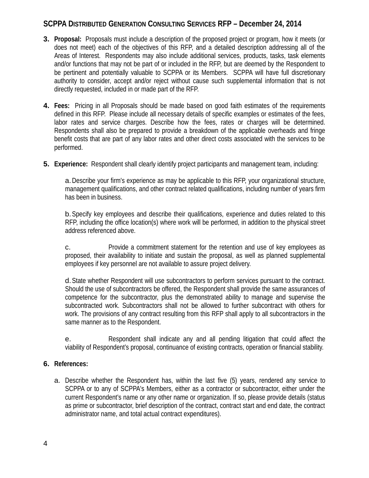- **3. Proposal:** Proposals must include a description of the proposed project or program, how it meets (or does not meet) each of the objectives of this RFP, and a detailed description addressing all of the Areas of Interest. Respondents may also include additional services, products, tasks, task elements and/or functions that may not be part of or included in the RFP, but are deemed by the Respondent to be pertinent and potentially valuable to SCPPA or its Members. SCPPA will have full discretionary authority to consider, accept and/or reject without cause such supplemental information that is not directly requested, included in or made part of the RFP.
- **4. Fees:** Pricing in all Proposals should be made based on good faith estimates of the requirements defined in this RFP. Please include all necessary details of specific examples or estimates of the fees, labor rates and service charges. Describe how the fees, rates or charges will be determined. Respondents shall also be prepared to provide a breakdown of the applicable overheads and fringe benefit costs that are part of any labor rates and other direct costs associated with the services to be performed.
- **5. Experience:** Respondent shall clearly identify project participants and management team, including:

a.Describe your firm's experience as may be applicable to this RFP, your organizational structure, management qualifications, and other contract related qualifications, including number of years firm has been in business.

b.Specify key employees and describe their qualifications, experience and duties related to this RFP, including the office location(s) where work will be performed, in addition to the physical street address referenced above.

c. Provide a commitment statement for the retention and use of key employees as proposed, their availability to initiate and sustain the proposal, as well as planned supplemental employees if key personnel are not available to assure project delivery.

d.State whether Respondent will use subcontractors to perform services pursuant to the contract. Should the use of subcontractors be offered, the Respondent shall provide the same assurances of competence for the subcontractor, plus the demonstrated ability to manage and supervise the subcontracted work. Subcontractors shall not be allowed to further subcontract with others for work. The provisions of any contract resulting from this RFP shall apply to all subcontractors in the same manner as to the Respondent.

e. Respondent shall indicate any and all pending litigation that could affect the viability of Respondent's proposal, continuance of existing contracts, operation or financial stability.

#### **6. References:**

a. Describe whether the Respondent has, within the last five (5) years, rendered any service to SCPPA or to any of SCPPA's Members, either as a contractor or subcontractor, either under the current Respondent's name or any other name or organization. If so, please provide details (status as prime or subcontractor, brief description of the contract, contract start and end date, the contract administrator name, and total actual contract expenditures).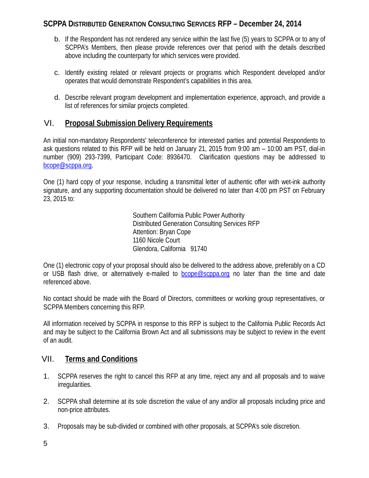- b. If the Respondent has not rendered any service within the last five (5) years to SCPPA or to any of SCPPA's Members, then please provide references over that period with the details described above including the counterparty for which services were provided.
- c. Identify existing related or relevant projects or programs which Respondent developed and/or operates that would demonstrate Respondent's capabilities in this area.
- d. Describe relevant program development and implementation experience, approach, and provide a list of references for similar projects completed.

# VI. **Proposal Submission Delivery Requirements**

An initial non-mandatory Respondents' teleconference for interested parties and potential Respondents to ask questions related to this RFP will be held on January 21, 2015 from 9:00 am – 10:00 am PST, dial-in number (909) 293-7399, Participant Code: 8936470. Clarification questions may be addressed to bcope@scppa.org.

One (1) hard copy of your response, including a transmittal letter of authentic offer with wet-ink authority signature, and any supporting documentation should be delivered no later than 4:00 pm PST on February 23, 2015 to:

> Southern California Public Power Authority Distributed Generation Consulting Services RFP Attention: Bryan Cope 1160 Nicole Court Glendora, California 91740

One (1) electronic copy of your proposal should also be delivered to the address above, preferably on a CD or USB flash drive, or alternatively e-mailed to bcope@scppa.org no later than the time and date referenced above.

No contact should be made with the Board of Directors, committees or working group representatives, or SCPPA Members concerning this RFP.

All information received by SCPPA in response to this RFP is subject to the California Public Records Act and may be subject to the California Brown Act and all submissions may be subject to review in the event of an audit.

# VII. **Terms and Conditions**

- 1. SCPPA reserves the right to cancel this RFP at any time, reject any and all proposals and to waive irregularities.
- 2. SCPPA shall determine at its sole discretion the value of any and/or all proposals including price and non-price attributes.
- 3. Proposals may be sub-divided or combined with other proposals, at SCPPA's sole discretion.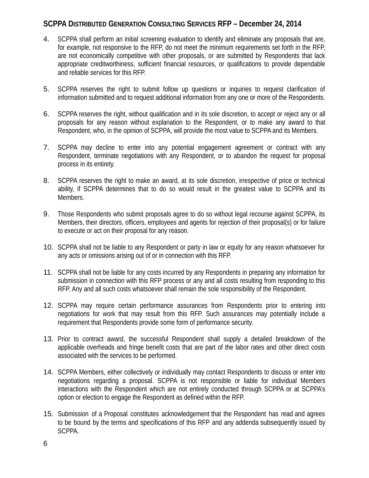- 4. SCPPA shall perform an initial screening evaluation to identify and eliminate any proposals that are, for example, not responsive to the RFP, do not meet the minimum requirements set forth in the RFP, are not economically competitive with other proposals, or are submitted by Respondents that lack appropriate creditworthiness, sufficient financial resources, or qualifications to provide dependable and reliable services for this RFP.
- 5. SCPPA reserves the right to submit follow up questions or inquiries to request clarification of information submitted and to request additional information from any one or more of the Respondents.
- 6. SCPPA reserves the right, without qualification and in its sole discretion, to accept or reject any or all proposals for any reason without explanation to the Respondent, or to make any award to that Respondent, who, in the opinion of SCPPA, will provide the most value to SCPPA and its Members.
- 7. SCPPA may decline to enter into any potential engagement agreement or contract with any Respondent, terminate negotiations with any Respondent, or to abandon the request for proposal process in its entirety.
- 8. SCPPA reserves the right to make an award, at its sole discretion, irrespective of price or technical ability, if SCPPA determines that to do so would result in the greatest value to SCPPA and its Members.
- 9. Those Respondents who submit proposals agree to do so without legal recourse against SCPPA, its Members, their directors, officers, employees and agents for rejection of their proposal(s) or for failure to execute or act on their proposal for any reason.
- 10. SCPPA shall not be liable to any Respondent or party in law or equity for any reason whatsoever for any acts or omissions arising out of or in connection with this RFP.
- 11. SCPPA shall not be liable for any costs incurred by any Respondents in preparing any information for submission in connection with this RFP process or any and all costs resulting from responding to this RFP. Any and all such costs whatsoever shall remain the sole responsibility of the Respondent.
- 12. SCPPA may require certain performance assurances from Respondents prior to entering into negotiations for work that may result from this RFP. Such assurances may potentially include a requirement that Respondents provide some form of performance security.
- 13. Prior to contract award, the successful Respondent shall supply a detailed breakdown of the applicable overheads and fringe benefit costs that are part of the labor rates and other direct costs associated with the services to be performed.
- 14. SCPPA Members, either collectively or individually may contact Respondents to discuss or enter into negotiations regarding a proposal. SCPPA is not responsible or liable for individual Members interactions with the Respondent which are not entirely conducted through SCPPA or at SCPPA's option or election to engage the Respondent as defined within the RFP.
- 15. Submission of a Proposal constitutes acknowledgement that the Respondent has read and agrees to be bound by the terms and specifications of this RFP and any addenda subsequently issued by SCPPA.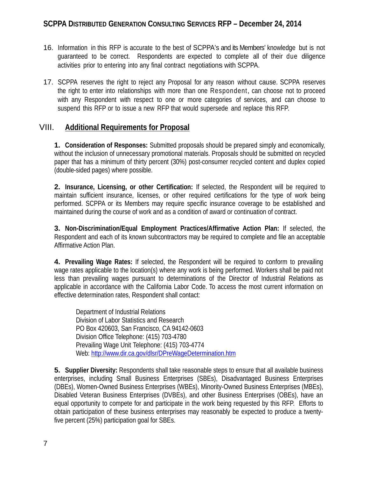- 16. Information in this RFP is accurate to the best of SCPPA's and its Members' knowledge but is not guaranteed to be correct. Respondents are expected to complete all of their due diligence activities prior to entering into any final contract negotiations with SCPPA.
- 17. SCPPA reserves the right to reject any Proposal for any reason without cause. SCPPA reserves the right to enter into relationships with more than one Respondent, can choose not to proceed with any Respondent with respect to one or more categories of services, and can choose to suspend this RFP or to issue a new RFP that would supersede and replace this RFP.

### VIII. **Additional Requirements for Proposal**

**1. Consideration of Responses:** Submitted proposals should be prepared simply and economically, without the inclusion of unnecessary promotional materials. Proposals should be submitted on recycled paper that has a minimum of thirty percent (30%) post-consumer recycled content and duplex copied (double-sided pages) where possible.

**2. Insurance, Licensing, or other Certification:** If selected, the Respondent will be required to maintain sufficient insurance, licenses, or other required certifications for the type of work being performed. SCPPA or its Members may require specific insurance coverage to be established and maintained during the course of work and as a condition of award or continuation of contract.

**3. Non-Discrimination/Equal Employment Practices/Affirmative Action Plan:** If selected, the Respondent and each of its known subcontractors may be required to complete and file an acceptable Affirmative Action Plan.

**4. Prevailing Wage Rates:** If selected, the Respondent will be required to conform to prevailing wage rates applicable to the location(s) where any work is being performed. Workers shall be paid not less than prevailing wages pursuant to determinations of the Director of Industrial Relations as applicable in accordance with the California Labor Code. To access the most current information on effective determination rates, Respondent shall contact:

Department of Industrial Relations Division of Labor Statistics and Research PO Box 420603, San Francisco, CA 94142-0603 Division Office Telephone: (415) 703-4780 Prevailing Wage Unit Telephone: (415) 703-4774 Web: http://www.dir.ca.gov/dlsr/DPreWageDetermination.htm

**5.** Supplier Diversity: Respondents shall take reasonable steps to ensure that all available business enterprises, including Small Business Enterprises (SBEs), Disadvantaged Business Enterprises (DBEs), Women-Owned Business Enterprises (WBEs), Minority-Owned Business Enterprises (MBEs), Disabled Veteran Business Enterprises (DVBEs), and other Business Enterprises (OBEs), have an equal opportunity to compete for and participate in the work being requested by this RFP. Efforts to obtain participation of these business enterprises may reasonably be expected to produce a twentyfive percent (25%) participation goal for SBEs.